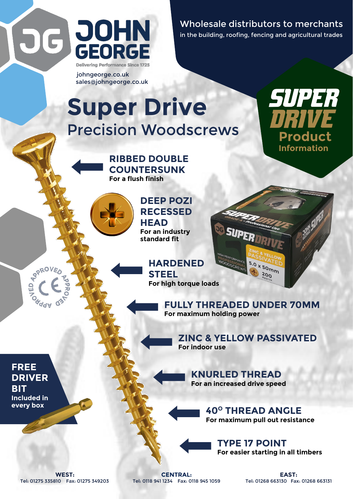

johngeorge.co.uk sales@johngeorge.co.uk Wholesale distributors to merchants in the building, roofing, fencing and agricultural trades

> **Product Information**

SUPER

## **Super Drive Precision Woodscrews**





**DEEP POZI RECESSED HEAD For an industry standard fit**

> **HARDENED STEEL For high torque loads**

> > **FULLY THREADED UNDER 70MM For maximum holding power**

> > > **ZINC & YELLOW PASSIVATED For indoor use**

5.0 x 50mm  $200$ 

**KNURLED THREAD For an increased drive speed**

> **40<sup>O</sup> THREAD ANGLE For maximum pull out resistance**

**TYPE 17 POINT For easier starting in all timbers**

Tel: 01275 335810 Fax: 01275 349203 Tel: 0118 941 1234 Fax: 0118 945 1059 Tel: 01268 663130 Fax: 01268 663131

**WEST: CENTRAL: EAST:**

**FREE DRIVER BIT Included in every box**